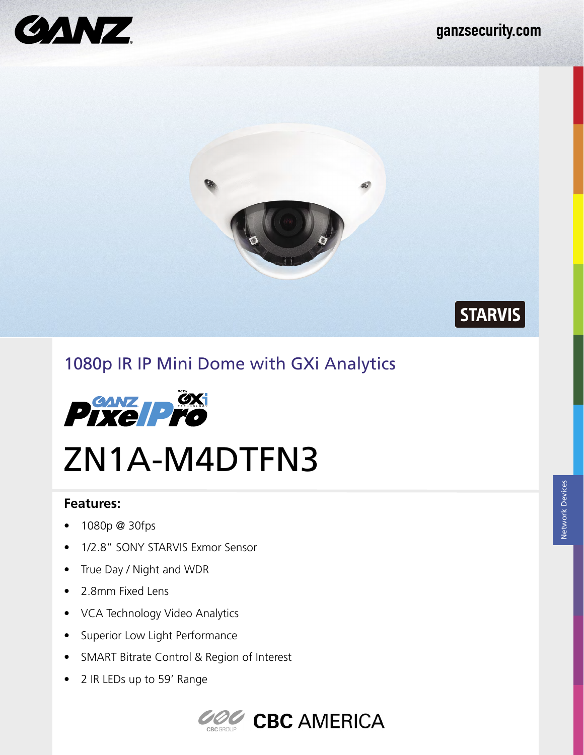STARVIS





# 1080p IR IP Mini Dome with GXi Analytics



# ZN1A-M4DTFN3

#### **Features:**

- 1080p @ 30fps
- 1/2.8" SONY STARVIS Exmor Sensor
- True Day / Night and WDR
- 2.8mm Fixed Lens
- VCA Technology Video Analytics
- Superior Low Light Performance
- SMART Bitrate Control & Region of Interest
- 2 IR LEDs up to 59' Range

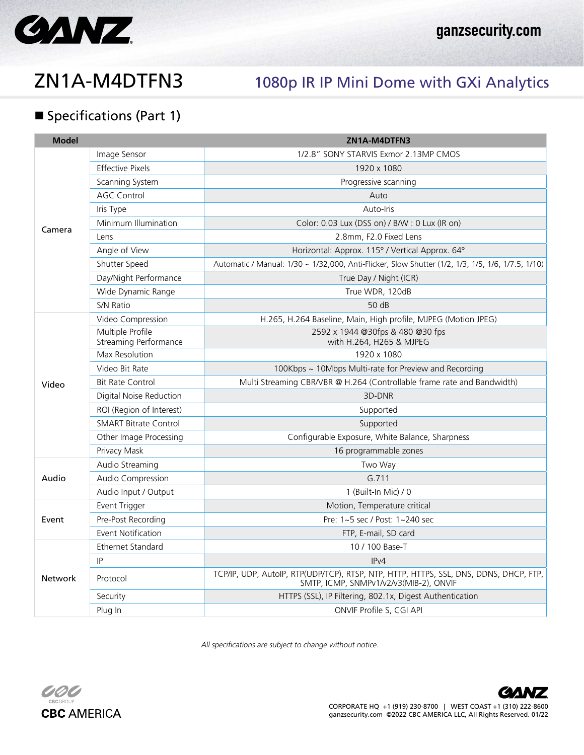

# ZN1A-M4DTFN3 1080p IR IP Mini Dome with GXi Analytics

### **Specifications (Part 1)**

| <b>Model</b> |                                                  | ZN1A-M4DTFN3                                                                                                                    |
|--------------|--------------------------------------------------|---------------------------------------------------------------------------------------------------------------------------------|
| Camera       | Image Sensor                                     | 1/2.8" SONY STARVIS Exmor 2.13MP CMOS                                                                                           |
|              | <b>Effective Pixels</b>                          | 1920 x 1080                                                                                                                     |
|              | Scanning System                                  | Progressive scanning                                                                                                            |
|              | <b>AGC Control</b>                               | Auto                                                                                                                            |
|              | Iris Type                                        | Auto-Iris                                                                                                                       |
|              | Minimum Illumination                             | Color: 0.03 Lux (DSS on) / B/W: 0 Lux (IR on)                                                                                   |
|              | Lens                                             | 2.8mm, F2.0 Fixed Lens                                                                                                          |
|              | Angle of View                                    | Horizontal: Approx. 115° / Vertical Approx. 64°                                                                                 |
|              | Shutter Speed                                    | Automatic / Manual: 1/30 ~ 1/32,000, Anti-Flicker, Slow Shutter (1/2, 1/3, 1/5, 1/6, 1/7.5, 1/10)                               |
|              | Day/Night Performance                            | True Day / Night (ICR)                                                                                                          |
|              | Wide Dynamic Range                               | True WDR, 120dB                                                                                                                 |
|              | S/N Ratio                                        | 50 dB                                                                                                                           |
| Video        | Video Compression                                | H.265, H.264 Baseline, Main, High profile, MJPEG (Motion JPEG)                                                                  |
|              | Multiple Profile<br><b>Streaming Performance</b> | 2592 x 1944 @30fps & 480 @30 fps<br>with H.264, H265 & MJPEG                                                                    |
|              | Max Resolution                                   | 1920 x 1080                                                                                                                     |
|              | Video Bit Rate                                   | 100Kbps ~ 10Mbps Multi-rate for Preview and Recording                                                                           |
|              | <b>Bit Rate Control</b>                          | Multi Streaming CBR/VBR @ H.264 (Controllable frame rate and Bandwidth)                                                         |
|              | Digital Noise Reduction                          | 3D-DNR                                                                                                                          |
|              | ROI (Region of Interest)                         | Supported                                                                                                                       |
|              | <b>SMART Bitrate Control</b>                     | Supported                                                                                                                       |
|              | Other Image Processing                           | Configurable Exposure, White Balance, Sharpness                                                                                 |
|              | Privacy Mask                                     | 16 programmable zones                                                                                                           |
| Audio        | Audio Streaming                                  | Two Way                                                                                                                         |
|              | Audio Compression                                | G.711                                                                                                                           |
|              | Audio Input / Output                             | 1 (Built-In Mic) / 0                                                                                                            |
| Event        | Event Trigger                                    | Motion, Temperature critical                                                                                                    |
|              | Pre-Post Recording                               | Pre: 1~5 sec / Post: 1~240 sec                                                                                                  |
|              | Event Notification                               | FTP, E-mail, SD card                                                                                                            |
| Network      | Ethernet Standard                                | 10 / 100 Base-T                                                                                                                 |
|              | IP                                               | IPv4                                                                                                                            |
|              | Protocol                                         | TCP/IP, UDP, AutoIP, RTP(UDP/TCP), RTSP, NTP, HTTP, HTTPS, SSL, DNS, DDNS, DHCP, FTP,<br>SMTP, ICMP, SNMPv1/v2/v3(MIB-2), ONVIF |
|              | Security                                         | HTTPS (SSL), IP Filtering, 802.1x, Digest Authentication                                                                        |
|              | Plug In                                          | ONVIF Profile S, CGI API                                                                                                        |

All specifications are subject to change without notice.